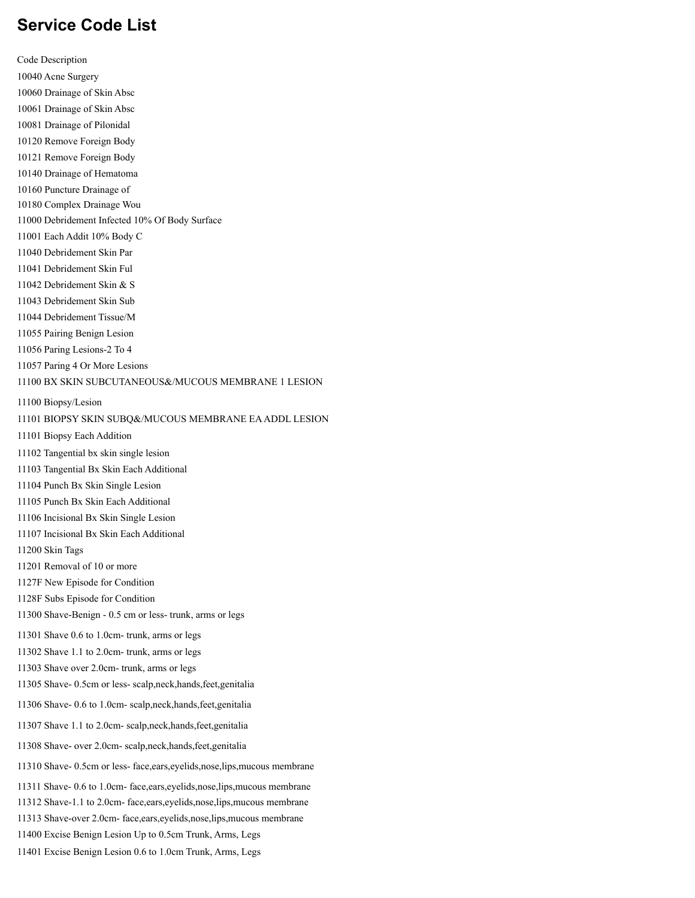## **Service Code List**

Code Description Acne Surgery Drainage of Skin Absc Drainage of Skin Absc Drainage of Pilonidal Remove Foreign Body Remove Foreign Body Drainage of Hematoma Puncture Drainage of Complex Drainage Wou Debridement Infected 10% Of Body Surface Each Addit 10% Body C Debridement Skin Par Debridement Skin Ful Debridement Skin & S Debridement Skin Sub Debridement Tissue/M Pairing Benign Lesion Paring Lesions-2 To 4 Paring 4 Or More Lesions BX SKIN SUBCUTANEOUS&/MUCOUS MEMBRANE 1 LESION Biopsy/Lesion BIOPSY SKIN SUBQ&/MUCOUS MEMBRANE EAADDL LESION Biopsy Each Addition Tangential bx skin single lesion Tangential Bx Skin Each Additional Punch Bx Skin Single Lesion Punch Bx Skin Each Additional Incisional Bx Skin Single Lesion Incisional Bx Skin Each Additional Skin Tags Removal of 10 or more 1127F New Episode for Condition 1128F Subs Episode for Condition Shave-Benign - 0.5 cm or less- trunk, arms or legs Shave 0.6 to 1.0cm- trunk, arms or legs Shave 1.1 to 2.0cm- trunk, arms or legs Shave over 2.0cm- trunk, arms or legs Shave- 0.5cm or less- scalp,neck,hands,feet,genitalia Shave- 0.6 to 1.0cm- scalp,neck,hands,feet,genitalia Shave 1.1 to 2.0cm- scalp,neck,hands,feet,genitalia Shave- over 2.0cm- scalp,neck,hands,feet,genitalia Shave- 0.5cm or less- face,ears,eyelids,nose,lips,mucous membrane Shave- 0.6 to 1.0cm- face,ears,eyelids,nose,lips,mucous membrane Shave-1.1 to 2.0cm- face,ears,eyelids,nose,lips,mucous membrane Shave-over 2.0cm- face,ears,eyelids,nose,lips,mucous membrane Excise Benign Lesion Up to 0.5cm Trunk, Arms, Legs Excise Benign Lesion 0.6 to 1.0cm Trunk, Arms, Legs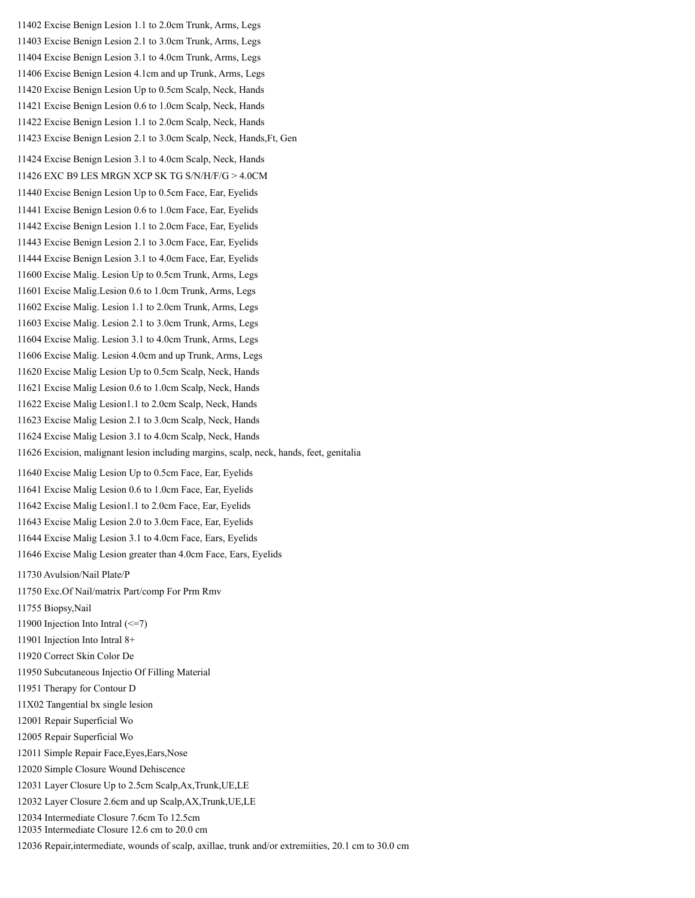Excise Benign Lesion 1.1 to 2.0cm Trunk, Arms, Legs Excise Benign Lesion 2.1 to 3.0cm Trunk, Arms, Legs Excise Benign Lesion 3.1 to 4.0cm Trunk, Arms, Legs Excise Benign Lesion 4.1cm and up Trunk, Arms, Legs Excise Benign Lesion Up to 0.5cm Scalp, Neck, Hands Excise Benign Lesion 0.6 to 1.0cm Scalp, Neck, Hands Excise Benign Lesion 1.1 to 2.0cm Scalp, Neck, Hands Excise Benign Lesion 2.1 to 3.0cm Scalp, Neck, Hands,Ft, Gen Excise Benign Lesion 3.1 to 4.0cm Scalp, Neck, Hands EXC B9 LES MRGN XCP SK TG S/N/H/F/G > 4.0CM Excise Benign Lesion Up to 0.5cm Face, Ear, Eyelids Excise Benign Lesion 0.6 to 1.0cm Face, Ear, Eyelids Excise Benign Lesion 1.1 to 2.0cm Face, Ear, Eyelids Excise Benign Lesion 2.1 to 3.0cm Face, Ear, Eyelids Excise Benign Lesion 3.1 to 4.0cm Face, Ear, Eyelids Excise Malig. Lesion Up to 0.5cm Trunk, Arms, Legs Excise Malig.Lesion 0.6 to 1.0cm Trunk, Arms, Legs Excise Malig. Lesion 1.1 to 2.0cm Trunk, Arms, Legs Excise Malig. Lesion 2.1 to 3.0cm Trunk, Arms, Legs Excise Malig. Lesion 3.1 to 4.0cm Trunk, Arms, Legs Excise Malig. Lesion 4.0cm and up Trunk, Arms, Legs Excise Malig Lesion Up to 0.5cm Scalp, Neck, Hands Excise Malig Lesion 0.6 to 1.0cm Scalp, Neck, Hands Excise Malig Lesion1.1 to 2.0cm Scalp, Neck, Hands Excise Malig Lesion 2.1 to 3.0cm Scalp, Neck, Hands Excise Malig Lesion 3.1 to 4.0cm Scalp, Neck, Hands Excision, malignant lesion including margins, scalp, neck, hands, feet, genitalia Excise Malig Lesion Up to 0.5cm Face, Ear, Eyelids Excise Malig Lesion 0.6 to 1.0cm Face, Ear, Eyelids Excise Malig Lesion1.1 to 2.0cm Face, Ear, Eyelids Excise Malig Lesion 2.0 to 3.0cm Face, Ear, Eyelids Excise Malig Lesion 3.1 to 4.0cm Face, Ears, Eyelids Excise Malig Lesion greater than 4.0cm Face, Ears, Eyelids Avulsion/Nail Plate/P Exc.Of Nail/matrix Part/comp For Prm Rmv Biopsy,Nail Injection Into Intral (<=7) Injection Into Intral 8+ Correct Skin Color De Subcutaneous Injectio Of Filling Material Therapy for Contour D 11X02 Tangential bx single lesion Repair Superficial Wo Repair Superficial Wo Simple Repair Face,Eyes,Ears,Nose Simple Closure Wound Dehiscence Layer Closure Up to 2.5cm Scalp,Ax,Trunk,UE,LE Layer Closure 2.6cm and up Scalp,AX,Trunk,UE,LE Intermediate Closure 7.6cm To 12.5cm Intermediate Closure 12.6 cm to 20.0 cm

Repair,intermediate, wounds of scalp, axillae, trunk and/or extremiities, 20.1 cm to 30.0 cm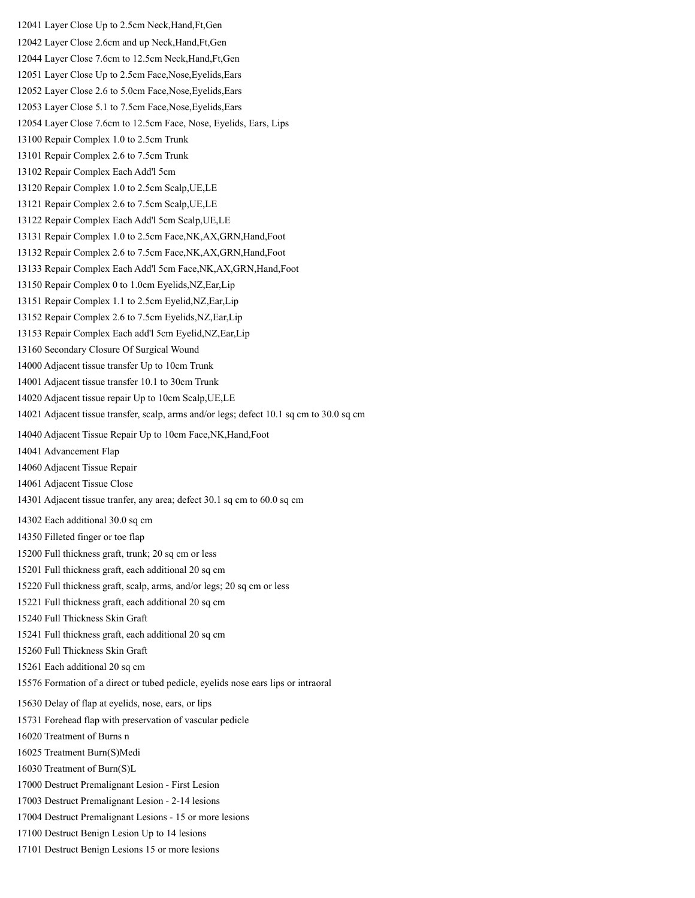Layer Close Up to 2.5cm Neck,Hand,Ft,Gen Layer Close 2.6cm and up Neck,Hand,Ft,Gen Layer Close 7.6cm to 12.5cm Neck,Hand,Ft,Gen Layer Close Up to 2.5cm Face,Nose,Eyelids,Ears Layer Close 2.6 to 5.0cm Face,Nose,Eyelids,Ears Layer Close 5.1 to 7.5cm Face,Nose,Eyelids,Ears Layer Close 7.6cm to 12.5cm Face, Nose, Eyelids, Ears, Lips Repair Complex 1.0 to 2.5cm Trunk Repair Complex 2.6 to 7.5cm Trunk Repair Complex Each Add'l 5cm Repair Complex 1.0 to 2.5cm Scalp,UE,LE Repair Complex 2.6 to 7.5cm Scalp,UE,LE Repair Complex Each Add'l 5cm Scalp,UE,LE Repair Complex 1.0 to 2.5cm Face,NK,AX,GRN,Hand,Foot Repair Complex 2.6 to 7.5cm Face,NK,AX,GRN,Hand,Foot Repair Complex Each Add'l 5cm Face,NK,AX,GRN,Hand,Foot Repair Complex 0 to 1.0cm Eyelids,NZ,Ear,Lip Repair Complex 1.1 to 2.5cm Eyelid,NZ,Ear,Lip Repair Complex 2.6 to 7.5cm Eyelids,NZ,Ear,Lip Repair Complex Each add'l 5cm Eyelid,NZ,Ear,Lip Secondary Closure Of Surgical Wound Adjacent tissue transfer Up to 10cm Trunk Adjacent tissue transfer 10.1 to 30cm Trunk Adjacent tissue repair Up to 10cm Scalp,UE,LE Adjacent tissue transfer, scalp, arms and/or legs; defect 10.1 sq cm to 30.0 sq cm Adjacent Tissue Repair Up to 10cm Face,NK,Hand,Foot Advancement Flap Adjacent Tissue Repair Adjacent Tissue Close Adjacent tissue tranfer, any area; defect 30.1 sq cm to 60.0 sq cm Each additional 30.0 sq cm Filleted finger or toe flap Full thickness graft, trunk; 20 sq cm or less Full thickness graft, each additional 20 sq cm Full thickness graft, scalp, arms, and/or legs; 20 sq cm or less Full thickness graft, each additional 20 sq cm Full Thickness Skin Graft Full thickness graft, each additional 20 sq cm Full Thickness Skin Graft Each additional 20 sq cm Formation of a direct or tubed pedicle, eyelids nose ears lips or intraoral Delay of flap at eyelids, nose, ears, or lips Forehead flap with preservation of vascular pedicle Treatment of Burns n Treatment Burn(S)Medi Treatment of Burn(S)L Destruct Premalignant Lesion - First Lesion Destruct Premalignant Lesion - 2-14 lesions Destruct Premalignant Lesions - 15 or more lesions Destruct Benign Lesion Up to 14 lesions Destruct Benign Lesions 15 or more lesions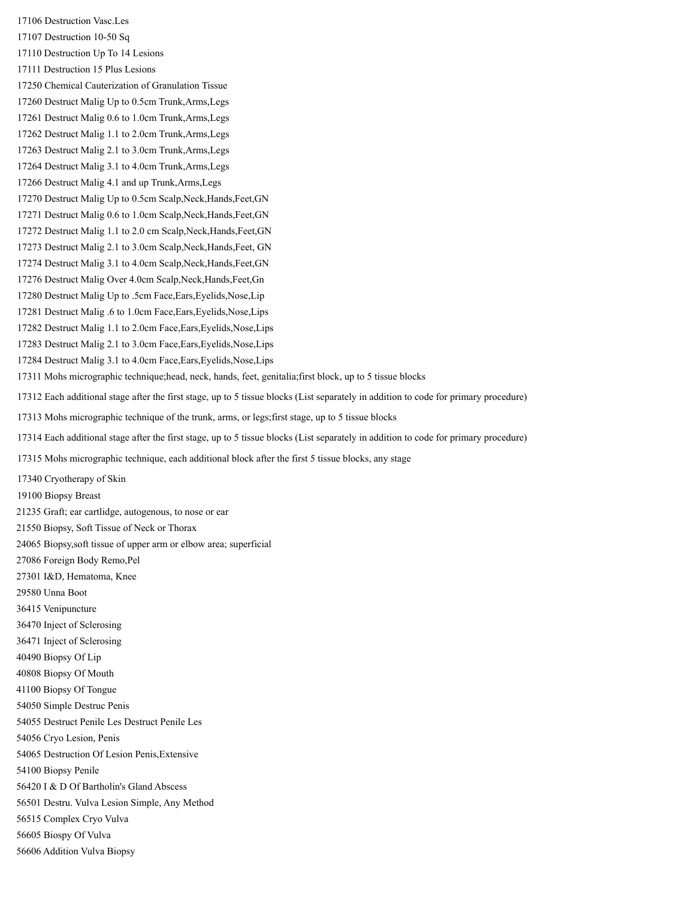Destruction Vasc.Les Destruction 10-50 Sq Destruction Up To 14 Lesions Destruction 15 Plus Lesions Chemical Cauterization of Granulation Tissue Destruct Malig Up to 0.5cm Trunk,Arms,Legs Destruct Malig 0.6 to 1.0cm Trunk,Arms,Legs Destruct Malig 1.1 to 2.0cm Trunk,Arms,Legs Destruct Malig 2.1 to 3.0cm Trunk,Arms,Legs Destruct Malig 3.1 to 4.0cm Trunk,Arms,Legs Destruct Malig 4.1 and up Trunk,Arms,Legs Destruct Malig Up to 0.5cm Scalp,Neck,Hands,Feet,GN Destruct Malig 0.6 to 1.0cm Scalp,Neck,Hands,Feet,GN Destruct Malig 1.1 to 2.0 cm Scalp,Neck,Hands,Feet,GN Destruct Malig 2.1 to 3.0cm Scalp,Neck,Hands,Feet, GN Destruct Malig 3.1 to 4.0cm Scalp,Neck,Hands,Feet,GN Destruct Malig Over 4.0cm Scalp,Neck,Hands,Feet,Gn Destruct Malig Up to .5cm Face,Ears,Eyelids,Nose,Lip Destruct Malig .6 to 1.0cm Face,Ears,Eyelids,Nose,Lips Destruct Malig 1.1 to 2.0cm Face,Ears,Eyelids,Nose,Lips Destruct Malig 2.1 to 3.0cm Face,Ears,Eyelids,Nose,Lips Destruct Malig 3.1 to 4.0cm Face,Ears,Eyelids,Nose,Lips Mohs micrographic technique;head, neck, hands, feet, genitalia;first block, up to 5 tissue blocks Each additional stage after the first stage, up to 5 tissue blocks (List separately in addition to code for primary procedure) Mohs micrographic technique of the trunk, arms, or legs;first stage, up to 5 tissue blocks Each additional stage after the first stage, up to 5 tissue blocks (List separately in addition to code for primary procedure) Mohs micrographic technique, each additional block after the first 5 tissue blocks, any stage Cryotherapy of Skin Biopsy Breast Graft; ear cartlidge, autogenous, to nose or ear Biopsy, Soft Tissue of Neck or Thorax Biopsy,soft tissue of upper arm or elbow area; superficial Foreign Body Remo,Pel I&D, Hematoma, Knee Unna Boot Venipuncture Inject of Sclerosing Inject of Sclerosing Biopsy Of Lip Biopsy Of Mouth Biopsy Of Tongue Simple Destruc Penis Destruct Penile Les Destruct Penile Les Cryo Lesion, Penis Destruction Of Lesion Penis,Extensive Biopsy Penile I & D Of Bartholin's Gland Abscess Destru. Vulva Lesion Simple, Any Method Complex Cryo Vulva Biospy Of Vulva Addition Vulva Biopsy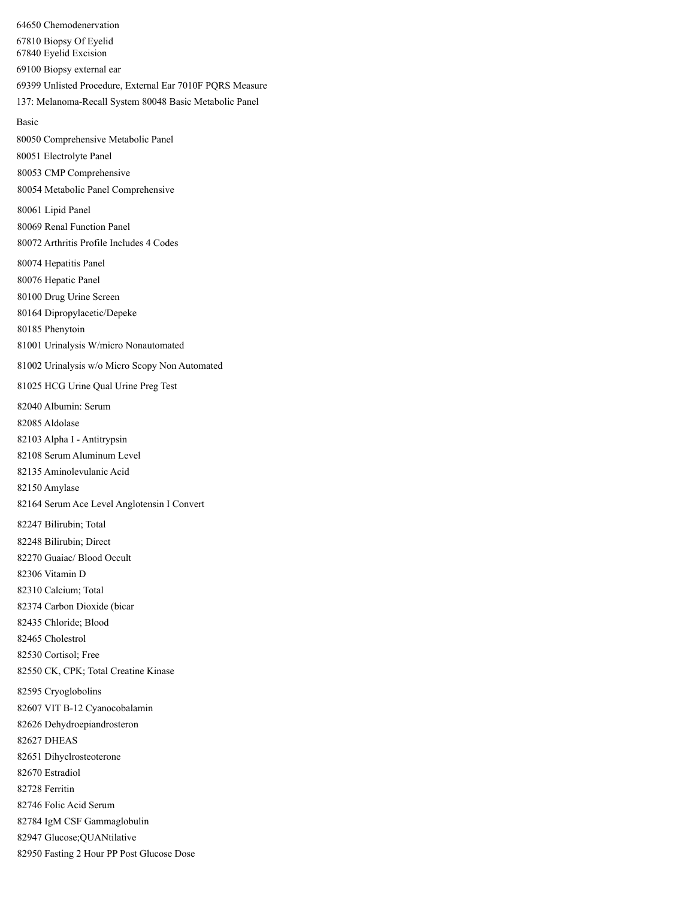Chemodenervation Biopsy Of Eyelid Eyelid Excision Biopsy external ear Unlisted Procedure, External Ear 7010F PQRS Measure 137: Melanoma-Recall System 80048 Basic Metabolic Panel Basic Comprehensive Metabolic Panel Electrolyte Panel CMP Comprehensive Metabolic Panel Comprehensive Lipid Panel Renal Function Panel Arthritis Profile Includes 4 Codes Hepatitis Panel Hepatic Panel Drug Urine Screen Dipropylacetic/Depeke Phenytoin Urinalysis W/micro Nonautomated Urinalysis w/o Micro Scopy Non Automated HCG Urine Qual Urine Preg Test Albumin: Serum Aldolase Alpha I - Antitrypsin Serum Aluminum Level Aminolevulanic Acid Amylase Serum Ace Level Anglotensin I Convert Bilirubin; Total Bilirubin; Direct Guaiac/ Blood Occult Vitamin D Calcium; Total Carbon Dioxide (bicar Chloride; Blood Cholestrol Cortisol; Free CK, CPK; Total Creatine Kinase Cryoglobolins VIT B-12 Cyanocobalamin Dehydroepiandrosteron DHEAS Dihyclrosteoterone Estradiol Ferritin Folic Acid Serum IgM CSF Gammaglobulin Glucose;QUANtilative Fasting 2 Hour PP Post Glucose Dose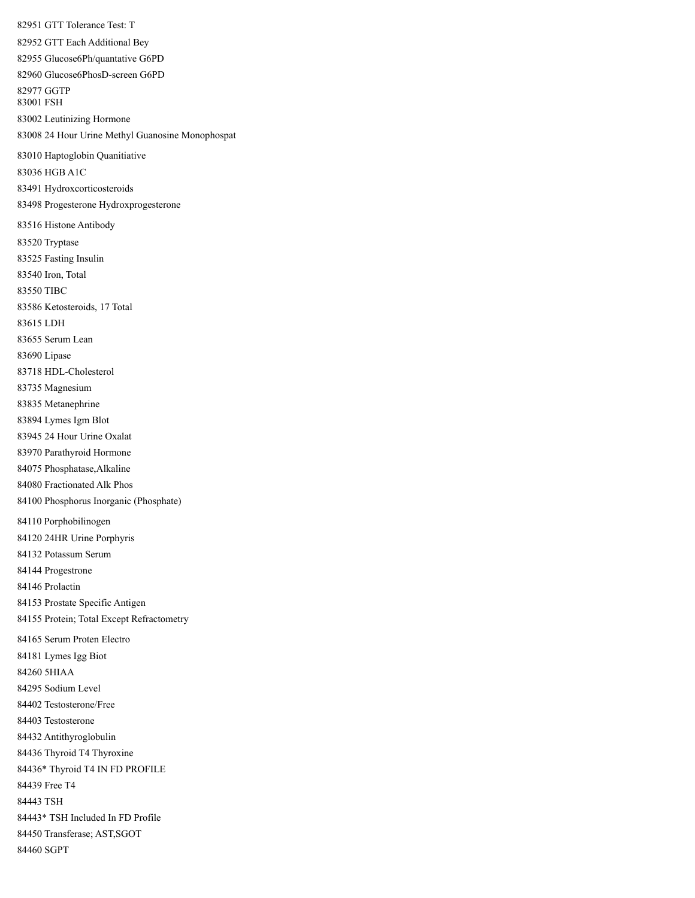GTT Tolerance Test: T GTT Each Additional Bey Glucose6Ph/quantative G6PD Glucose6PhosD-screen G6PD GGTP FSH Leutinizing Hormone 24 Hour Urine Methyl Guanosine Monophospat Haptoglobin Quanitiative HGB A1C Hydroxcorticosteroids Progesterone Hydroxprogesterone Histone Antibody Tryptase Fasting Insulin Iron, Total TIBC Ketosteroids, 17 Total LDH Serum Lean Lipase HDL-Cholesterol Magnesium Metanephrine Lymes Igm Blot 24 Hour Urine Oxalat Parathyroid Hormone Phosphatase,Alkaline Fractionated Alk Phos Phosphorus Inorganic (Phosphate) Porphobilinogen 24HR Urine Porphyris Potassum Serum Progestrone Prolactin Prostate Specific Antigen Protein; Total Except Refractometry Serum Proten Electro Lymes Igg Biot 5HIAA Sodium Level Testosterone/Free Testosterone Antithyroglobulin Thyroid T4 Thyroxine 84436\* Thyroid T4 IN FD PROFILE Free T4 TSH 84443\* TSH Included In FD Profile Transferase; AST,SGOT SGPT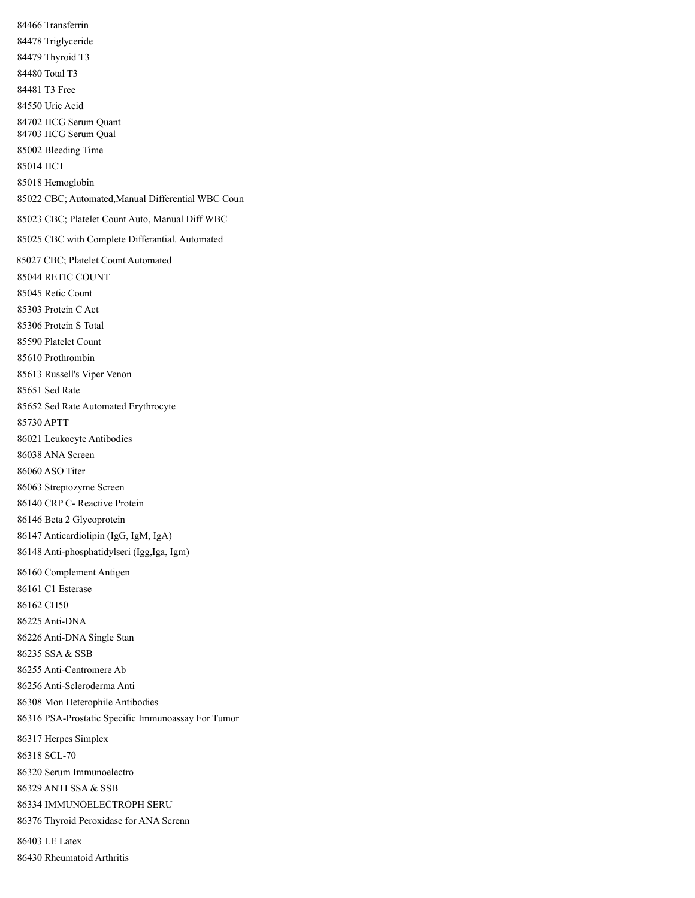Transferrin Triglyceride Thyroid T3 Total T3 T3 Free Uric Acid HCG Serum Quant HCG Serum Qual Bleeding Time HCT Hemoglobin CBC; Automated,Manual Differential WBC Coun CBC; Platelet Count Auto, Manual Diff WBC CBC with Complete Differantial. Automated CBC; Platelet Count Automated RETIC COUNT Retic Count Protein C Act Protein S Total Platelet Count Prothrombin Russell's Viper Venon Sed Rate Sed Rate Automated Erythrocyte APTT Leukocyte Antibodies ANA Screen ASO Titer Streptozyme Screen CRP C- Reactive Protein Beta 2 Glycoprotein Anticardiolipin (IgG, IgM, IgA) Anti-phosphatidylseri (Igg,Iga, Igm) Complement Antigen C1 Esterase CH50 Anti-DNA Anti-DNA Single Stan SSA & SSB Anti-Centromere Ab Anti-Scleroderma Anti Mon Heterophile Antibodies PSA-Prostatic Specific Immunoassay For Tumor Herpes Simplex SCL-70 Serum Immunoelectro ANTI SSA & SSB IMMUNOELECTROPH SERU Thyroid Peroxidase for ANA Screnn LE Latex Rheumatoid Arthritis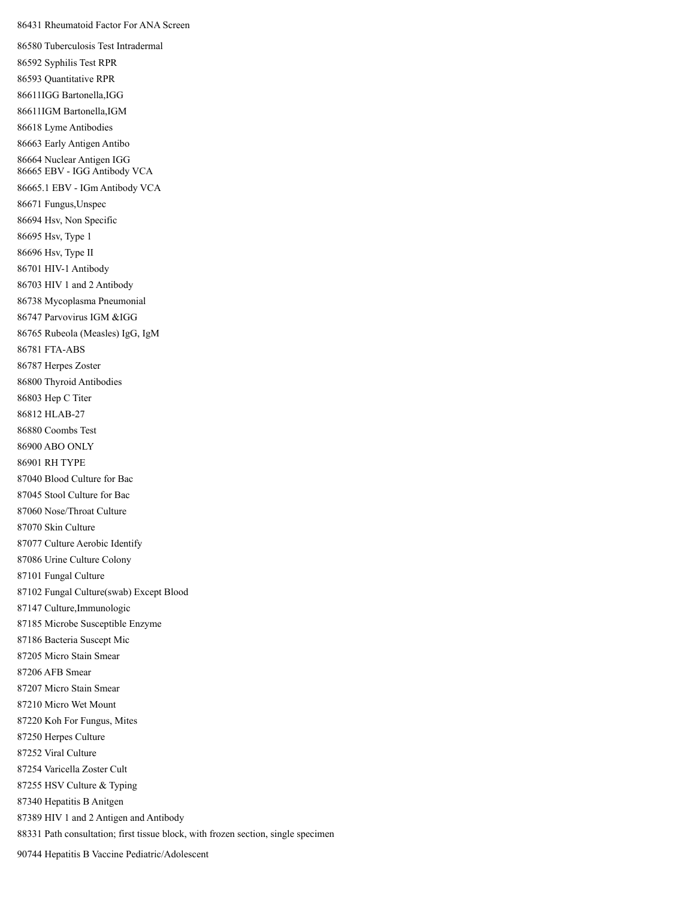Rheumatoid Factor For ANA Screen

 Tuberculosis Test Intradermal Syphilis Test RPR Quantitative RPR 86611IGG Bartonella,IGG 86611IGM Bartonella,IGM Lyme Antibodies Early Antigen Antibo Nuclear Antigen IGG EBV - IGG Antibody VCA 86665.1 EBV - IGm Antibody VCA Fungus,Unspec Hsv, Non Specific Hsv, Type 1 Hsv, Type II HIV-1 Antibody HIV 1 and 2 Antibody Mycoplasma Pneumonial Parvovirus IGM &IGG Rubeola (Measles) IgG, IgM FTA-ABS Herpes Zoster Thyroid Antibodies Hep C Titer HLAB-27 Coombs Test ABO ONLY RH TYPE Blood Culture for Bac Stool Culture for Bac Nose/Throat Culture Skin Culture Culture Aerobic Identify Urine Culture Colony Fungal Culture Fungal Culture(swab) Except Blood Culture,Immunologic Microbe Susceptible Enzyme Bacteria Suscept Mic Micro Stain Smear AFB Smear Micro Stain Smear Micro Wet Mount Koh For Fungus, Mites Herpes Culture Viral Culture Varicella Zoster Cult HSV Culture & Typing Hepatitis B Anitgen HIV 1 and 2 Antigen and Antibody Path consultation; first tissue block, with frozen section, single specimen

Hepatitis B Vaccine Pediatric/Adolescent